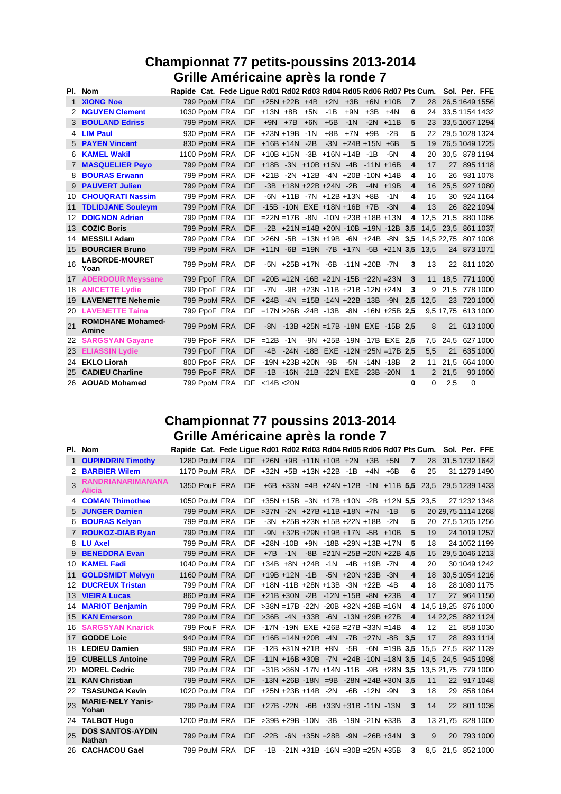# **Championnat 77 petits-poussins 2013-2014 Grille Américaine après la ronde 7**

|     | PI. Nom                           | Rapide Cat. Fede Ligue Rd01 Rd02 Rd03 Rd04 Rd05 Rd06 Rd07 Pts Cum. Sol. Per. FFE |                  |                                                             |                         |                                                    |     |       |                   |              |                |                                               |                     |          |                |
|-----|-----------------------------------|----------------------------------------------------------------------------------|------------------|-------------------------------------------------------------|-------------------------|----------------------------------------------------|-----|-------|-------------------|--------------|----------------|-----------------------------------------------|---------------------|----------|----------------|
|     | 1 XIONG Noe                       |                                                                                  |                  | 799 PpoM FRA IDF +25N +22B +4B +2N +3B +6N +10B             |                         |                                                    |     |       |                   |              | $\overline{7}$ | 28                                            |                     |          | 26,5 1649 1556 |
|     | 2 NGUYEN Clement                  | 1030 PpoM FRA IDF +13N +8B +5N                                                   |                  |                                                             |                         |                                                    | -1B |       | $+9N$ $+3B$ $+4N$ |              | 6              |                                               | 24 33.5 1154 1432   |          |                |
|     | <b>3 BOULAND Edriss</b>           |                                                                                  |                  | 799 PpoM FRA IDF +9N +7B +6N +5B                            |                         |                                                    |     | $-1N$ |                   | $-2N$ $+11B$ | 5              |                                               | 23 33,5 1067 1294   |          |                |
|     | 4 LIM Paul                        |                                                                                  |                  | 930 PpoM FRA IDF +23N +19B -1N                              |                         |                                                    | +8B | $+7N$ | $+9B$             | $-2B$        | 5              | 22                                            |                     |          | 29,5 1028 1324 |
|     | <b>5 PAYEN Vincent</b>            |                                                                                  |                  | 830 PpoM FRA IDF +16B +14N -2B -3N +24B +15N +6B            |                         |                                                    |     |       |                   |              | 5              | 19                                            |                     |          | 26,5 1049 1225 |
|     | 6 KAMEL Wakil                     | 1100 PpoM FRA IDF +10B +15N -3B +16N +14B -1B -5N                                |                  |                                                             |                         |                                                    |     |       |                   |              | 4              | 20                                            | 30,5 878 1194       |          |                |
|     | <b>7 MASQUELIER Peyo</b>          |                                                                                  |                  | 799 PpoM FRA IDF +18B -3N +10B +15N -4B -11N +16B           |                         |                                                    |     |       |                   |              | 4              | 17                                            |                     |          | 27 895 1118    |
|     | <b>BOURAS Erwann</b>              |                                                                                  |                  | 799 PpoM FRA IDF +21B -2N +12B -4N +20B -10N +14B           |                         |                                                    |     |       |                   |              | 4              | 16                                            |                     |          | 26 931 1078    |
| 9   | <b>PAUVERT Julien</b>             |                                                                                  |                  | 799 PpoM FRA IDF -3B +18N +22B +24N -2B -4N +19B            |                         |                                                    |     |       |                   |              | 4              | 16                                            |                     |          | 25.5 927 1080  |
| 10  | <b>CHOUQRATI Nassim</b>           |                                                                                  |                  | 799 PpoM FRA IDF                                            |                         | $-6N$ $+11B$ $-7N$ $+12B$ $+13N$ $+8B$             |     |       |                   | $-1N$        | 4              | 15                                            |                     |          | 30 924 1164    |
| 11  | <b>TDLIDJANE Souleym</b>          |                                                                                  |                  | 799 PpoM FRA IDF -15B -10N EXE +18N +16B +7B                |                         |                                                    |     |       |                   | $-3N$        | 4              | 13                                            |                     |          | 26 822 1094    |
| 12  | <b>DOIGNON Adrien</b>             |                                                                                  |                  | 799 PpoM FRA IDF = 22N = 17B - 8N - 10N + 23B + 18B + 13N   |                         |                                                    |     |       |                   |              |                | 4 12.5                                        |                     |          | 21.5 880 1086  |
|     | 13 COZIC Boris                    |                                                                                  |                  | 799 PpoM FRA IDF                                            |                         |                                                    |     |       |                   |              |                | $-2B +21N = 14B +20N -10B +19N -12B$ 3,5 14,5 | 23.5 861 1037       |          |                |
| 14  | <b>MESSILI Adam</b>               |                                                                                  |                  | 799 PpoM FRA IDF > 26N - 5B = 13N + 19B - 6N + 24B - 8N 3.5 |                         |                                                    |     |       |                   |              |                |                                               | 14.5 22.75 807 1008 |          |                |
| 15. | <b>BOURCIER Bruno</b>             |                                                                                  |                  | 799 PpoM FRA IDF +11N -6B =19N -7B +17N -5B +21N 3,5 13.5   |                         |                                                    |     |       |                   |              |                |                                               |                     |          | 24 873 1071    |
| 16  | <b>LABORDE-MOURET</b><br>Yoan     |                                                                                  |                  | 799 PpoM FRA IDF                                            |                         | $-5N$ $+25B$ $+17N$ $-6B$ $-11N$ $+20B$ $-7N$      |     |       |                   |              | 3              | 13                                            |                     |          | 22 811 1020    |
|     | <b>17 ADERDOUR Meyssane</b>       |                                                                                  |                  | 799 PpoF FRA IDF = 20B = 12N - 16B = 21N - 15B + 22N = 23N  |                         |                                                    |     |       |                   |              | $\mathbf{3}$   |                                               | 11 18,5 771 1000    |          |                |
|     | <b>18 ANICETTE Lydie</b>          |                                                                                  | 799 PpoF FRA IDF |                                                             | -7N                     | -9B +23N -11B +21B -12N +24N                       |     |       |                   |              | 3              | 9                                             |                     |          | 21,5 778 1000  |
| 19  | <b>LAVENETTE Nehemie</b>          |                                                                                  |                  | 799 PpoM FRA IDF +24B -4N =15B -14N +22B -13B -9N 2,5       |                         |                                                    |     |       |                   |              |                | 12.5                                          |                     |          | 23 720 1000    |
|     | 20 LAVENETTE Taina                |                                                                                  |                  | 799 PpoF FRA IDF =17N >26B -24B -13B -8N -16N +25B 2.5      |                         |                                                    |     |       |                   |              |                |                                               | 9,5 17,75           |          | 613 1000       |
| 21  | <b>ROMDHANE Mohamed-</b><br>Amine |                                                                                  |                  | 799 PpoM FRA IDF                                            |                         | $-8N$ $-13B$ $+25N$ $=17B$ $-18N$ $EXE$ $-15B$ 2.5 |     |       |                   |              |                | 8                                             |                     |          | 21 613 1000    |
|     | 22 SARGSYAN Gayane                |                                                                                  |                  | 799 PpoF FRA IDF =12B -1N -9N +25B -19N -17B EXE 2.5        |                         |                                                    |     |       |                   |              |                | 7.5                                           | 24.5 627 1000       |          |                |
|     | 23 ELIASSIN Lydie                 |                                                                                  | 799 PpoF FRA IDF |                                                             |                         | $-4B - 24N - 18B$ EXE $-12N + 25N = 17B$ 2.5       |     |       |                   |              |                | 5.5                                           | 21                  |          | 635 1000       |
| 24  | <b>EKLO Liorah</b>                | 800 PpoF FRA                                                                     |                  | <b>IDF</b>                                                  | $-19N + 23B + 20N - 9B$ |                                                    |     |       | -5N -14N -18B     |              | 2              | 11                                            | 21.5                |          | 664 1000       |
| 25  | <b>CADIEU Charline</b>            |                                                                                  | 799 PpoF FRA IDF |                                                             |                         | -1B -16N -21B -22N EXE -23B -20N                   |     |       |                   |              | $\mathbf{1}$   | 2                                             | 21,5                |          | 90 1000        |
|     | 26 AOUAD Mohamed                  |                                                                                  |                  | 799 PpoM FRA IDF <14B <20N                                  |                         |                                                    |     |       |                   |              | 0              | $\Omega$                                      | 2,5                 | $\Omega$ |                |

### **Championnat 77 poussins 2013-2014 Grille Américaine après la ronde 7**

|              | PI. Nom                                   | Rapide Cat. Fede Lique Rd01 Rd02 Rd03 Rd04 Rd05 Rd06 Rd07 Pts Cum. |                                                                           |            |                                                  |       |                                                 |  |                                   |       |                         |      |                     | Sol. Per. FFE  |
|--------------|-------------------------------------------|--------------------------------------------------------------------|---------------------------------------------------------------------------|------------|--------------------------------------------------|-------|-------------------------------------------------|--|-----------------------------------|-------|-------------------------|------|---------------------|----------------|
| $\mathbf{1}$ | <b>OUPINDRIN Timothy</b>                  |                                                                    | 1280 PouM FRA IDF +26N +9B +11N +10B +2N +3B +5N                          |            |                                                  |       |                                                 |  |                                   |       | $\overline{7}$          | 28   |                     | 31.5 1732 1642 |
|              | <b>BARBIER Wilem</b>                      |                                                                    | 1170 PouM FRA IDF +32N +5B +13N +22B -1B                                  |            |                                                  |       |                                                 |  | $+4N$                             | $+6B$ | 6                       | 25   |                     | 31 1279 1490   |
| 3            | <b>RANDRIANARIMANANA</b><br><b>Alicia</b> |                                                                    | 1350 PouF FRA IDF +6B +33N =4B +24N +12B -1N +11B 5,5 23,5 29,5 1239 1433 |            |                                                  |       |                                                 |  |                                   |       |                         |      |                     |                |
|              | 4 <b>COMAN Thimothee</b>                  |                                                                    | 1050 PouM FRA IDF +35N +15B =3N +17B +10N -2B +12N 5.5 23.5               |            |                                                  |       |                                                 |  |                                   |       |                         |      |                     | 27 1232 1348   |
|              | 5 JUNGER Damien                           |                                                                    | 799 PouM FRA IDF > 37N - 2N + 27B + 11B + 18N + 7N                        |            |                                                  |       |                                                 |  |                                   | $-1B$ | 5                       |      | 20 29,75 1114 1268  |                |
| 6            | <b>BOURAS Kelyan</b>                      |                                                                    | 799 PouM FRA IDF                                                          |            |                                                  |       | $-3N$ $+25B$ $+23N$ $+15B$ $+22N$ $+18B$ $-2N$  |  |                                   |       | 5                       | 20   |                     | 27,5 1205 1256 |
|              | <b>ROUKOZ-DIAB Ryan</b>                   |                                                                    | 799 PouM FRA                                                              | <b>IDF</b> |                                                  |       | $-9N$ $+32B$ $+29N$ $+19B$ $+17N$ $-5B$ $+10B$  |  |                                   |       | 5                       | 19   |                     | 24 1019 1257   |
|              | 8 LU Axel                                 |                                                                    | 799 PouM FRA                                                              |            | IDF +28N -10B +9N -18B +29N +13B +17N            |       |                                                 |  |                                   |       | 5                       | 18   |                     | 24 1052 1199   |
|              | <b>BENEDDRA Evan</b>                      |                                                                    | 799 PouM FRA                                                              | <b>IDF</b> | $+7B$                                            | $-1N$ |                                                 |  | $-BB = 21N + 25B + 20N + 22B$ 4.5 |       |                         | 15   |                     | 29,5 1046 1213 |
| 10           | <b>KAMEL Fadi</b>                         |                                                                    | 1040 PouM FRA                                                             |            | IDF +34B +8N +24B -1N                            |       |                                                 |  | $-4B + 19B - 7N$                  |       | 4                       | 20   |                     | 30 1049 1242   |
| 11           | <b>GOLDSMIDT Melvvn</b>                   |                                                                    | 1160 PouM FRA IDF +19B +12N -1B                                           |            |                                                  |       |                                                 |  | $-5N$ $+20N$ $+23B$ $-3N$         |       | $\overline{\mathbf{4}}$ | 18   |                     | 30.5 1054 1216 |
| 12           | <b>DUCREUX Tristan</b>                    |                                                                    | 799 PouM FRA IDF +18N -11B +28N +13B -3N +22B -4B                         |            |                                                  |       |                                                 |  |                                   |       | 4                       | 18   |                     | 28 1080 1175   |
|              | 13 VIEIRA Lucas                           |                                                                    | 860 PouM FRA IDF +21B +30N -2B -12N +15B -8N +23B                         |            |                                                  |       |                                                 |  |                                   |       | $\overline{\mathbf{4}}$ | 17   |                     | 27 964 1150    |
| 14           | <b>MARIOT Benjamin</b>                    |                                                                    | 799 PouM FRA IDF > 38N = 17B - 22N - 20B + 32N + 28B = 16N                |            |                                                  |       |                                                 |  |                                   |       | 4                       |      | 14.5 19.25 876 1000 |                |
|              | 15 KAN Emerson                            |                                                                    | 799 PouM FRA IDF > 36B - 4N + 33B - 6N - 13N + 29B + 27B                  |            |                                                  |       |                                                 |  |                                   |       | 4                       |      | 14 22.25 882 1124   |                |
| 16           | <b>SARGSYAN Knarick</b>                   |                                                                    | 799 PouF FRA IDF -17N -19N EXE +26B =27B +33N =14B                        |            |                                                  |       |                                                 |  |                                   |       | 4                       | 12   | 21                  | 858 1030       |
| 17           | <b>GODDE Loic</b>                         |                                                                    | 940 PouM FRA IDF $+16B = 14N + 20B - 4N$                                  |            |                                                  |       |                                                 |  | $-7B +27N -8B$ 3.5                |       |                         | 17   | 28                  | 893 1114       |
|              | 18 LEDIEU Damien                          |                                                                    | 990 PouM FRA IDF -12B +31N +21B +8N                                       |            |                                                  |       |                                                 |  | $-B - 6N = 19B$ 3.5               |       |                         | 15.5 |                     | 27.5 832 1139  |
| 19           | <b>CUBELLS Antoine</b>                    |                                                                    | 799 PouM FRA                                                              | IDF        | $-11N + 16B + 30B - 7N + 24B - 10N = 18N$ 3.5    |       |                                                 |  |                                   |       |                         | 14.5 | 24.5 945 1098       |                |
| 20           | <b>MOREL Cedric</b>                       |                                                                    | 799 PouM FRA                                                              |            | IDF = 31B > 36N - 17N + 14N - 11B - 9B + 28N 3.5 |       |                                                 |  |                                   |       |                         |      | 13.5 21.75          | 779 1000       |
| 21           | <b>KAN Christian</b>                      |                                                                    | 799 PouM FRA                                                              |            | $IDF -13N +26B -18N = 9B -28N +24B +30N$ 3.5     |       |                                                 |  |                                   |       |                         | 11   |                     | 22 917 1048    |
|              | 22 TSASUNGA Kevin                         |                                                                    | 1020 PouM FRA IDF +25N +23B +14B -2N                                      |            |                                                  |       |                                                 |  | -6B -12N -9N                      |       | 3                       | 18   |                     | 29 858 1064    |
| 23           | <b>MARIE-NELY Yanis-</b><br>Yohan         |                                                                    | 799 PouM FRA IDF +27B -22N -6B +33N +31B -11N -13N                        |            |                                                  |       |                                                 |  |                                   |       | 3                       | 14   |                     | 22 801 1036    |
|              | 24 TALBOT Hugo                            |                                                                    | 1200 PouM FRA IDF > 39B + 29B - 10N - 3B - 19N - 21N + 33B                |            |                                                  |       |                                                 |  |                                   |       | 3                       |      | 13 21,75 828 1000   |                |
| 25           | <b>DOS SANTOS-AYDIN</b><br><b>Nathan</b>  |                                                                    | 799 PouM FRA IDF -22B -6N +35N = 28B -9N = 26B + 34N                      |            |                                                  |       |                                                 |  |                                   |       | 3                       | 9    | 20                  | 793 1000       |
|              | 26 CACHACOU Gael                          |                                                                    | 799 PouM FRA IDF                                                          |            |                                                  |       | $-1B$ $-21N$ $+31B$ $-16N$ $=30B$ $=25N$ $+35B$ |  |                                   |       | 3                       |      | 8.5 21.5 852 1000   |                |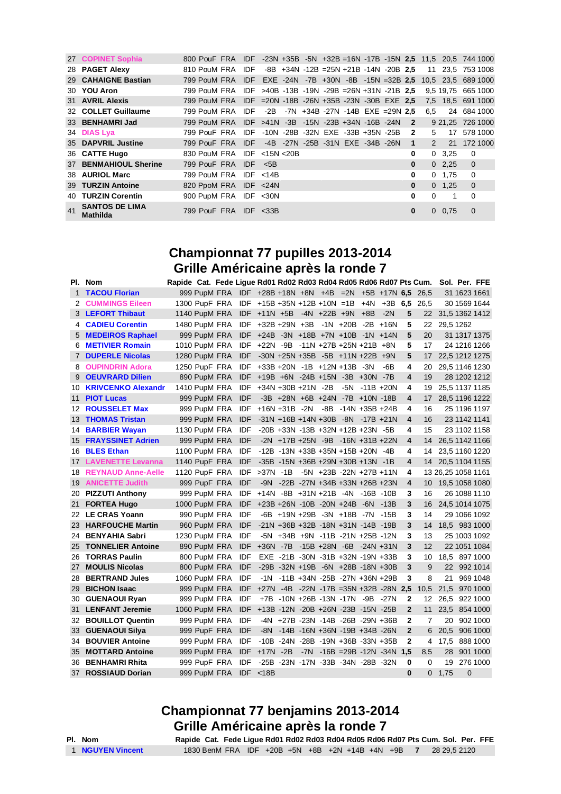|    | 27 COPINET Sophia                        | 800 PouF FRA IDF -23N +35B -5N +32B =16N -17B -15N 2.5 11.5 20.5 744 1000 |  |                                              |  |  |  |              |               |               |                    |
|----|------------------------------------------|---------------------------------------------------------------------------|--|----------------------------------------------|--|--|--|--------------|---------------|---------------|--------------------|
|    | 28 PAGET Alexy                           | 810 PouM FRA                                                              |  | IDF $-8B +34N -12B = 25N +21B -14N -20B$ 2,5 |  |  |  |              |               |               | 11 23.5 753 1008   |
|    | 29 CAHAIGNE Bastian                      | 799 PouM FRA IDF EXE -24N -7B +30N -8B -15N =32B 2.5 10.5 23.5 689 1000   |  |                                              |  |  |  |              |               |               |                    |
|    | 30 YOU Aron                              | 799 PouM FRA IDF >40B -13B -19N -29B =26N +31N -21B 2.5                   |  |                                              |  |  |  |              |               |               | 9.5 19.75 665 1000 |
|    | 31 AVRIL Alexis                          | 799 PouM FRA IDF = 20N - 18B - 26N + 35B - 23N - 30B EXE 2,5              |  |                                              |  |  |  |              |               |               | 7,5 18,5 691 1000  |
|    | 32 COLLET Guillaume                      | 799 PouM FRA IDF -2B -7N +34B -27N -14B EXE =29N 2.5                      |  |                                              |  |  |  |              | 6.5           |               | 24 684 1000        |
|    | 33 BENHAMRI Jad                          | 799 PouM FRA IDF >41N -3B -15N -23B +34N -16B -24N 2                      |  |                                              |  |  |  |              |               |               | 9 21.25 726 1000   |
|    | 34 DIAS Lya                              | 799 PouF FRA IDF -10N -28B -32N EXE -33B +35N -25B 2                      |  |                                              |  |  |  |              | 5             |               | 17 578 1000        |
|    | 35 DAPVRIL Justine                       | 799 PouF FRA IDF -4B -27N -25B -31N EXE -34B -26N                         |  |                                              |  |  |  | $\mathbf{1}$ | $\mathcal{P}$ | 21            | 172 1000           |
|    | 36 CATTE Hugo                            | 830 PouM FRA IDF <15N <20B                                                |  |                                              |  |  |  | 0            |               | $0\quad 3.25$ | $\Omega$           |
|    | 37 BENMAHIOUL Sherine                    | 799 PouF FRA IDF <5B                                                      |  |                                              |  |  |  | $\bf{0}$     |               | $0\quad 2.25$ | $\overline{0}$     |
|    | 38 AURIOL Marc                           | 799 PouM FRA IDF <14B                                                     |  |                                              |  |  |  | 0            |               | 0, 1.75       | $\Omega$           |
|    | 39 TURZIN Antoine                        | 820 PpoM FRA IDF <24N                                                     |  |                                              |  |  |  | $\bf{0}$     |               | $0 \t1.25$    | $\Omega$           |
|    | 40 TURZIN Corentin                       | 900 PupM FRA IDF <30N                                                     |  |                                              |  |  |  | 0            | $\Omega$      | 1             | $\Omega$           |
| 41 | <b>SANTOS DE LIMA</b><br><b>Mathilda</b> | 799 PouF FRA IDF $<$ 33B                                                  |  |                                              |  |  |  | 0            |               | $0\quad 0.75$ | $\Omega$           |

### **Championnat 77 pupilles 2013-2014 Grille Américaine après la ronde 7**

|              | PI. Nom                   | Rapide Cat. Fede Ligue Rd01 Rd02 Rd03 Rd04 Rd05 Rd06 Rd07 Pts Cum. Sol. Per. FFE |               |                                                          |                                     |                                                 |                                   |                   |                                          |                |                |                    |             |                |
|--------------|---------------------------|----------------------------------------------------------------------------------|---------------|----------------------------------------------------------|-------------------------------------|-------------------------------------------------|-----------------------------------|-------------------|------------------------------------------|----------------|----------------|--------------------|-------------|----------------|
| 1            | <b>TACOU Florian</b>      |                                                                                  |               | 999 PupM FRA IDF +28B +18N +8N +4B =2N +5B +17N 6,5 26,5 |                                     |                                                 |                                   |                   |                                          |                |                |                    |             | 31 1623 1661   |
| 2            | <b>CUMMINGS Eileen</b>    |                                                                                  | 1300 PupF FRA |                                                          | $IDF + 15B + 35N + 12B + 10N = 1B$  |                                                 |                                   | $+4N$             |                                          |                | $+3B$ 6.5 26.5 |                    |             | 30 1569 1644   |
| 3            | <b>LEFORT Thibaut</b>     |                                                                                  | 1140 PupM FRA |                                                          | $IDF +11N +5B -4N +22B +9N$         |                                                 |                                   | $+8B$             | $-2N$                                    | 5              | 22             |                    |             | 31,5 1362 1412 |
| 4            | <b>CADIEU Corentin</b>    |                                                                                  | 1480 PupM FRA |                                                          | IDF +32B +29N +3B -1N +20B -2B +16N |                                                 |                                   |                   |                                          | 5              | 22             | 29,5 1262          |             |                |
| 5            | <b>MEDEIROS Raphael</b>   |                                                                                  | 999 PupM FRA  |                                                          | IDF +24B -3N +18B +7N +10B -1N +14N |                                                 |                                   |                   |                                          | 5              | 20             |                    |             | 31 1317 1375   |
| 6            | <b>METIVIER Romain</b>    |                                                                                  | 1010 PupM FRA | <b>IDF</b>                                               | +22N -9B -11N +27B +25N +21B +8N    |                                                 |                                   |                   |                                          | 5              | 17             |                    |             | 24 1216 1266   |
| $\mathbf{7}$ | <b>DUPERLE Nicolas</b>    |                                                                                  | 1280 PupM FRA | <b>IDF</b>                                               |                                     | $-30N + 25N + 35B - 5B + 11N + 22B + 9N$        |                                   |                   |                                          | 5              | 17             |                    |             | 22,5 1212 1275 |
| 8            | <b>OUPINDRIN Adora</b>    |                                                                                  | 1250 PupF FRA | <b>IDF</b>                                               |                                     | +33B +20N -1B +12N +13B -3N                     |                                   |                   | -6B                                      | 4              | 20             |                    |             | 29,5 1146 1230 |
| 9            | <b>OEUVRARD Dilien</b>    |                                                                                  | 890 PupM FRA  | <b>IDF</b>                                               |                                     | $+19B +6N -24B +15N -3B +30N -7B$               |                                   |                   |                                          | 4              | 19             |                    |             | 28 1202 1212   |
| 10           | <b>KRIVCENKO Alexandr</b> |                                                                                  | 1410 PupM FRA | IDF                                                      |                                     | +34N +30B +21N -2B                              |                                   | $-5N - 11B + 20N$ |                                          | 4              | 19             |                    |             | 25,5 1137 1185 |
| 11           | <b>PIOT Lucas</b>         |                                                                                  | 999 PupM FRA  | <b>IDF</b>                                               |                                     | $-3B + 28N + 6B + 24N - 7B + 10N - 18B$         |                                   |                   |                                          | 4              | 17             |                    |             | 28,5 1196 1222 |
| 12           | <b>ROUSSELET Max</b>      |                                                                                  | 999 PupM FRA  | IDF                                                      | +16N +31B -2N -8B -14N +35B +24B    |                                                 |                                   |                   |                                          | 4              | 16             |                    |             | 25 1196 1197   |
| 13           | <b>THOMAS Tristan</b>     |                                                                                  | 999 PupM FRA  | <b>IDF</b>                                               |                                     | $-31N + 16B + 14N + 30B - 8N - 17B + 21N$       |                                   |                   |                                          | 4              | 16             |                    |             | 23 1142 1141   |
| 14           | <b>BARBIER Wayan</b>      |                                                                                  | 1130 PupM FRA | IDF                                                      |                                     | -20B +33N -13B +32N +12B +23N -5B               |                                   |                   |                                          | 4              | 15             |                    |             | 23 1102 1158   |
| 15           | <b>FRAYSSINET Adrien</b>  |                                                                                  | 999 PupM FRA  | <b>IDF</b>                                               |                                     | $-2N$ $+17B$ $+25N$ $-9B$ $-16N$ $+31B$ $+22N$  |                                   |                   |                                          | 4              | 14             |                    |             | 26,5 1142 1166 |
| 16           | <b>BLES Ethan</b>         |                                                                                  | 1100 PupM FRA | IDF                                                      |                                     | $-12B - 13N + 33B + 35N + 15B + 20N - 4B$       |                                   |                   |                                          | 4              | 14             |                    |             | 23,5 1160 1220 |
| 17           | <b>LAVENETTE Levanna</b>  |                                                                                  | 1140 PupF FRA | <b>IDF</b>                                               |                                     | $-35B - 15N + 36B + 29N + 30B + 13N - 1B$       |                                   |                   |                                          | 4              | 14             |                    |             | 20,5 1104 1155 |
| 18           | <b>REYNAUD Anne-Aelle</b> |                                                                                  | 1120 PupF FRA | <b>IDF</b>                                               | $>37N$ -1B                          |                                                 | $-5N$ $+23B$ $-22N$ $+27B$ $+11N$ |                   |                                          | 4              |                | 13 26,25 1058 1161 |             |                |
| 19           | <b>ANICETTE Judith</b>    |                                                                                  | 999 PupF FRA  | IDF                                                      |                                     | -9N -22B -27N +34B +33N +26B +23N               |                                   |                   |                                          | 4              | 10             |                    |             | 19,5 1058 1080 |
| 20           | <b>PIZZUTI Anthony</b>    |                                                                                  | 999 PupM FRA  | <b>IDF</b>                                               |                                     | $+14N -8B +31N +21B -4N -16B -10B$              |                                   |                   |                                          | 3              | 16             |                    |             | 26 1088 1110   |
| 21           | <b>FORTEA Hugo</b>        |                                                                                  | 1000 PupM FRA | <b>IDF</b>                                               | +23B +26N -10B -20N +24B -6N -13B   |                                                 |                                   |                   |                                          | 3              | 16             |                    |             | 24,5 1014 1075 |
| 22           | <b>LE CRAS Yoann</b>      |                                                                                  | 990 PupM FRA  | IDF                                                      |                                     | -6B +19N +29B -3N +18B -7N -15B                 |                                   |                   |                                          | 3              | 14             |                    |             | 29 1066 1092   |
| 23           | <b>HARFOUCHE Martin</b>   |                                                                                  | 960 PupM FRA  | <b>IDF</b>                                               |                                     | -21N +36B +32B -18N +31N -14B -19B              |                                   |                   |                                          | 3              | 14             |                    |             | 18,5 983 1000  |
| 24           | <b>BENYAHIA Sabri</b>     |                                                                                  | 1230 PupM FRA | IDF                                                      |                                     | $-5N$ $+34B$ $+9N$ $-11B$ $-21N$ $+25B$ $-12N$  |                                   |                   |                                          | 3              | 13             |                    |             | 25 1003 1092   |
| 25           | <b>TONNELIER Antoine</b>  |                                                                                  | 890 PupM FRA  | <b>IDF</b>                                               |                                     | +36N -7B -15B +28N -6B -24N +31N                |                                   |                   |                                          | 3              | 12             |                    |             | 22 1051 1084   |
| 26           | <b>TORRAS Paulin</b>      |                                                                                  | 800 PupM FRA  | IDF                                                      |                                     | $EXE - 21B - 30N - 31B + 32N - 19N + 33B$       |                                   |                   |                                          | 3              | 10             |                    |             | 18,5 897 1000  |
| 27           | <b>MOULIS Nicolas</b>     |                                                                                  | 800 PupM FRA  | <b>IDF</b>                                               |                                     | -29B -32N +19B -6N +28B -18N +30B               |                                   |                   |                                          | 3              | 9              |                    |             | 22 992 1014    |
| 28           | <b>BERTRAND Jules</b>     |                                                                                  | 1060 PupM FRA | IDF                                                      |                                     | $-1N$ $-11B$ $+34N$ $-25B$ $-27N$ $+36N$ $+29B$ |                                   |                   |                                          | 3              | 8              | 21                 |             | 969 1048       |
| 29           | <b>BICHON Isaac</b>       |                                                                                  | 999 PupM FRA  | <b>IDF</b>                                               |                                     |                                                 |                                   |                   | $+27N -4B -22N -17B = 35N +32B -28N$ 2.5 |                | 10.5           | 21.5               |             | 970 1000       |
| 30           | <b>GUENAOUI Ryan</b>      |                                                                                  | 999 PupM FRA  | <b>IDF</b>                                               |                                     | +7B -10N +26B -13N -17N -9B -27N                |                                   |                   |                                          | $\mathbf{2}$   | 12             |                    |             | 26,5 922 1000  |
| 31           | <b>LENFANT Jeremie</b>    |                                                                                  | 1060 PupM FRA | <b>IDF</b>                                               |                                     | +13B -12N -20B +26N -23B -15N -25B              |                                   |                   |                                          | $\overline{2}$ | 11             | 23.5               |             | 854 1000       |
| 32           | <b>BOUILLOT Quentin</b>   |                                                                                  | 999 PupM FRA  | IDF                                                      |                                     | -4N +27B -23N -14B -26B -29N +36B               |                                   |                   |                                          | 2              | 7              | 20                 |             | 902 1000       |
| 33           | <b>GUENAOUI Silva</b>     |                                                                                  | 999 PupF FRA  | <b>IDF</b>                                               | $-8N$                               | -14B -16N +36N -19B +34B -26N                   |                                   |                   |                                          | $\mathbf{2}$   | 6              | 20.5               |             | 906 1000       |
| 34           | <b>BOUVIER Antoine</b>    |                                                                                  | 999 PupM FRA  | <b>IDF</b>                                               |                                     | -10B -24N -28B -19N +36B -33N +35B              |                                   |                   |                                          | $\mathbf{2}$   | 4              | 17,5               |             | 888 1000       |
| 35           | <b>MOTTARD Antoine</b>    |                                                                                  | 999 PupM FRA  | <b>IDF</b>                                               | $+17N -2B$                          |                                                 |                                   |                   | $-7N - 16B = 29B - 12N - 34N$ 1,5        |                | 8.5            | 28                 |             | 901 1000       |
| 36           | <b>BENHAMRI Rhita</b>     |                                                                                  | 999 PupF FRA  | <b>IDF</b>                                               |                                     | -25B -23N -17N -33B -34N -28B -32N              |                                   |                   |                                          | 0              | 0              | 19                 |             | 276 1000       |
| 37           | <b>ROSSIAUD Dorian</b>    |                                                                                  | 999 PupM FRA  | <b>IDF</b>                                               | < 18B                               |                                                 |                                   |                   |                                          | 0              | 0              | 1,75               | $\mathbf 0$ |                |

# **Championnat 77 benjamins 2013-2014 Grille Américaine après la ronde 7**

| - 1 | NOM                              |
|-----|----------------------------------|
|     | IYEN<br>$\overline{\phantom{a}}$ |

**Pl. Nom Rapide Cat. Fede Ligue Rd01 Rd02 Rd03 Rd04 Rd05 Rd06 Rd07 Pts Cum. Sol. Per. FFE NGUYEN Vincent** 1830 BenM FRA IDF +20B +5N +8B +2N +14B +4N +9B **7** 28 29,5 2120